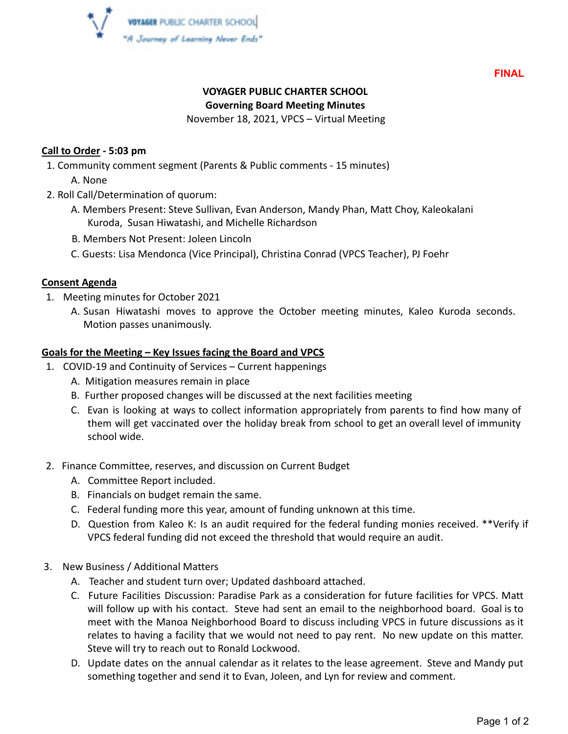

**FINAL**

# **VOYAGER PUBLIC CHARTER SCHOOL**

#### **Governing Board Meeting Minutes**

November 18, 2021, VPCS – Virtual Meeting

#### **Call to Order - 5:03 pm**

- 1. Community comment segment (Parents & Public comments 15 minutes)
	- A. None
- 2. Roll Call/Determination of quorum:
	- A. Members Present: Steve Sullivan, Evan Anderson, Mandy Phan, Matt Choy, Kaleokalani Kuroda, Susan Hiwatashi, and Michelle Richardson
	- B. Members Not Present: Joleen Lincoln
	- C. Guests: Lisa Mendonca (Vice Principal), Christina Conrad (VPCS Teacher), PJ Foehr

## **Consent Agenda**

- 1. Meeting minutes for October 2021
	- A. Susan Hiwatashi moves to approve the October meeting minutes, Kaleo Kuroda seconds. Motion passes unanimously.

## **Goals for the Meeting – Key Issues facing the Board and VPCS**

- 1. COVID-19 and Continuity of Services Current happenings
	- A. Mitigation measures remain in place
	- B. Further proposed changes will be discussed at the next facilities meeting
	- C. Evan is looking at ways to collect information appropriately from parents to find how many of them will get vaccinated over the holiday break from school to get an overall level of immunity school wide.
- 2. Finance Committee, reserves, and discussion on Current Budget
	- A. Committee Report included.
	- B. Financials on budget remain the same.
	- C. Federal funding more this year, amount of funding unknown at this time.
	- D. Question from Kaleo K: Is an audit required for the federal funding monies received. \*\*Verify if VPCS federal funding did not exceed the threshold that would require an audit.
- 3. New Business / Additional Matters
	- A. Teacher and student turn over; Updated dashboard attached.
	- C. Future Facilities Discussion: Paradise Park as a consideration for future facilities for VPCS. Matt will follow up with his contact. Steve had sent an email to the neighborhood board. Goal is to meet with the Manoa Neighborhood Board to discuss including VPCS in future discussions as it relates to having a facility that we would not need to pay rent. No new update on this matter. Steve will try to reach out to Ronald Lockwood.
	- D. Update dates on the annual calendar as it relates to the lease agreement. Steve and Mandy put something together and send it to Evan, Joleen, and Lyn for review and comment.